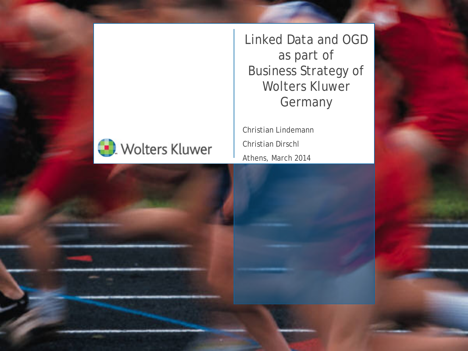

Linked Data and OGD as part of Business Strategy of Wolters Kluwer **Germany** 

Christian Lindemann Christian Dirschl Athens, March 2014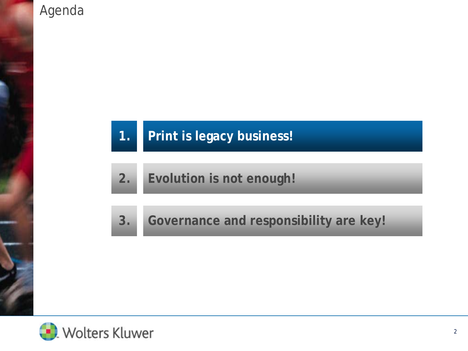#### Agenda

# **1. Print is legacy business!**

**2. Evolution is not enough!**

**3. Governance and responsibility are key!**

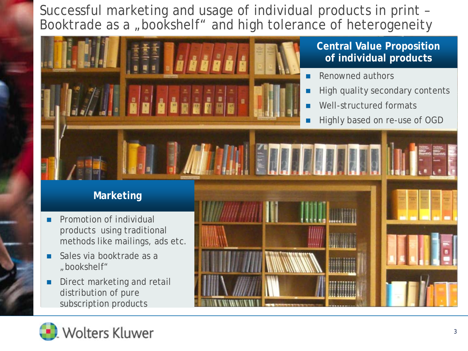Successful marketing and usage of individual products in print – Booktrade as a "bookshelf" and high tolerance of heterogeneity



**Central Value Proposition of individual products**

- Renowned authors
- High quality secondary contents
- Well-structured formats
- Highly based on re-use of OGD

#### **Marketing**

- **Promotion of individual** products using traditional methods like mailings, ads etc.
- Sales via booktrade as a "bookshelf"
- Direct marketing and retail distribution of pure subscription products



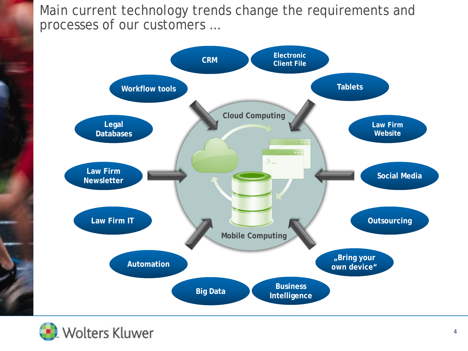Main current technology trends change the requirements and processes of our customers …



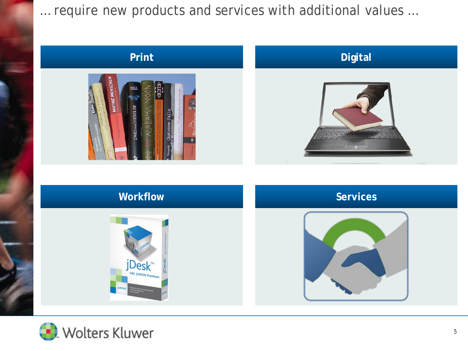… require new products and services with additional values …

# **Print Digital NDDIES**



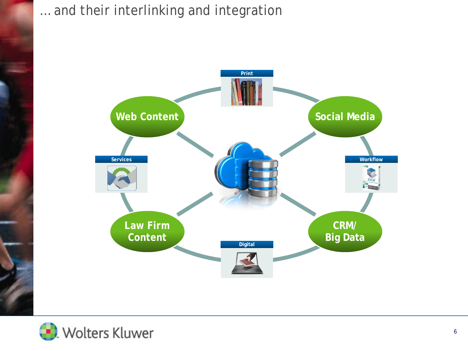

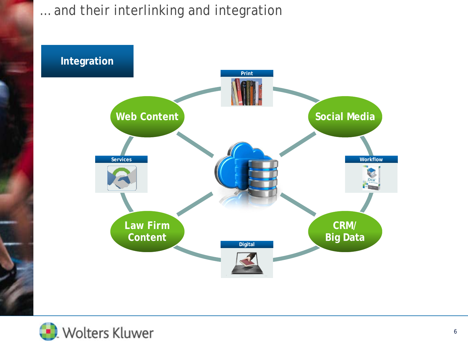

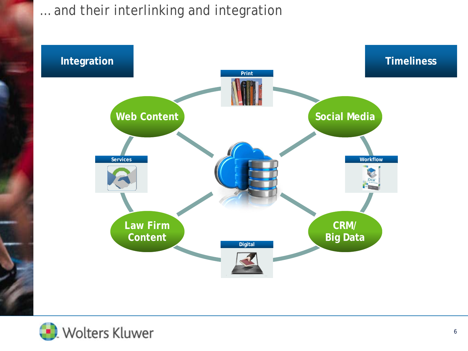

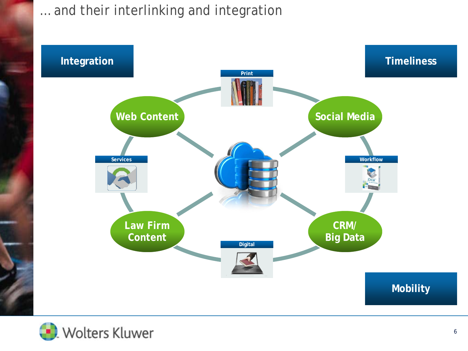

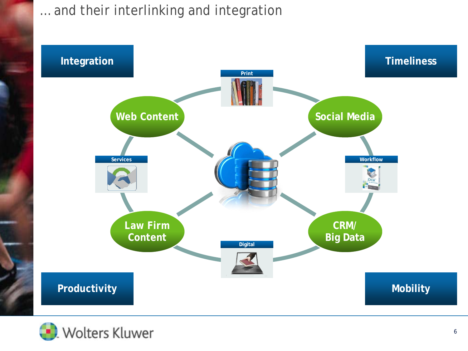

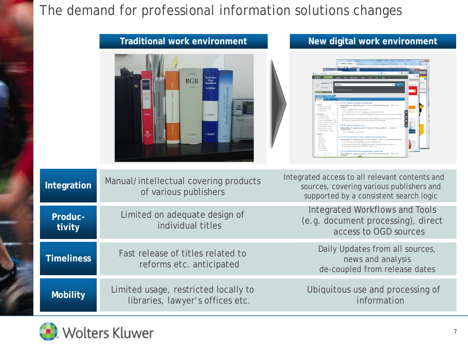#### The demand for professional information solutions changes

|                   | <u>Hauttional work environment</u>                                                                                                  | <b>NEW UIGHT WOLK CHAIN OF BITTING</b>                                                                                               |
|-------------------|-------------------------------------------------------------------------------------------------------------------------------------|--------------------------------------------------------------------------------------------------------------------------------------|
|                   | Prisoner<br><b>Beck'sche</b><br>Notar-<br>Handhuch<br><b>BGB</b><br>Listen<br>4. Auflac<br><b>C.H.Bick</b><br>C.H.Beck<br>C.H. Bock |                                                                                                                                      |
| Integration       | Manual/intellectual covering products<br>of various publishers                                                                      | Integrated access to all relevant contents and<br>sources, covering various publishers and<br>supported by a consistent search logic |
| Produc-<br>tivity | Limited on adequate design of<br>individual titles                                                                                  | <b>Integrated Workflows and Tools</b><br>(e.g. document processing), direct<br>access to OGD sources                                 |
| <b>Timeliness</b> | Fast release of titles related to<br>reforms etc. anticipated                                                                       | Daily Updates from all sources,<br>news and analysis<br>de-coupled from release dates                                                |
| <b>Mobility</b>   | Limited usage, restricted locally to<br>libraries, lawyer's offices etc.                                                            | Ubiquitous use and processing of<br>information                                                                                      |

**Traditional work environment New digital work environment**

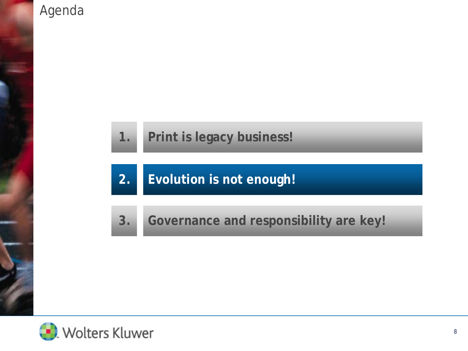#### Agenda

## **1. Print is legacy business!**

## **2. Evolution is not enough!**

## **3. Governance and responsibility are key!**

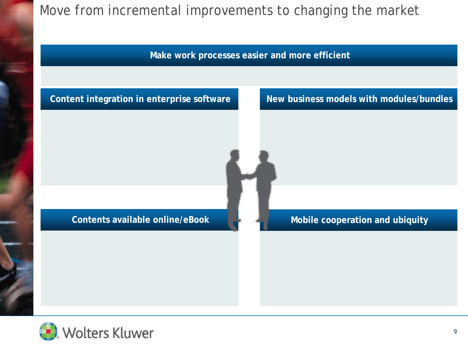



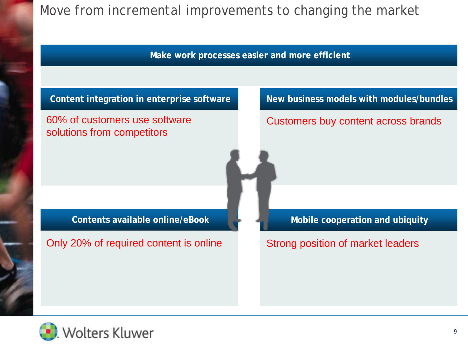**Make work processes easier and more efficient**



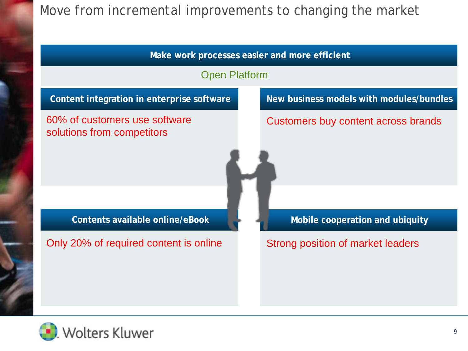

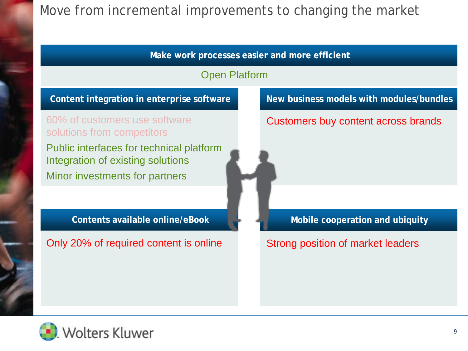

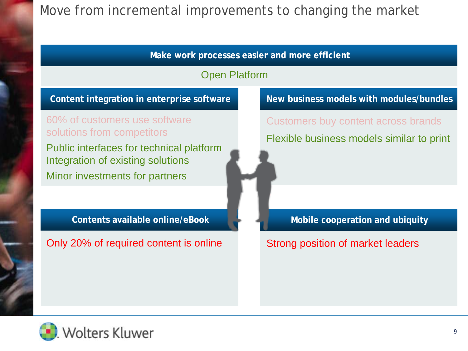

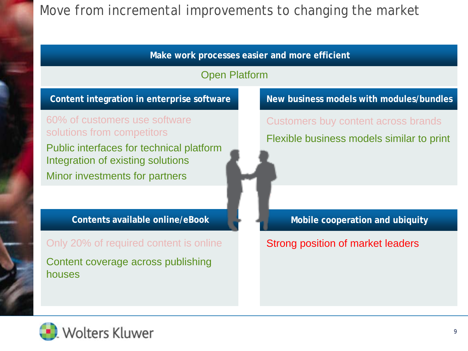

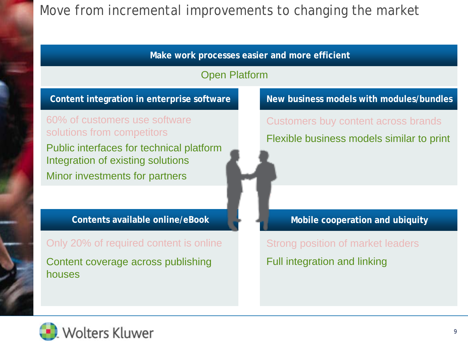

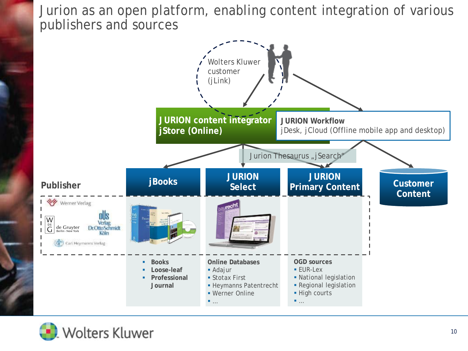Jurion as an open platform, enabling content integration of various publishers and sources



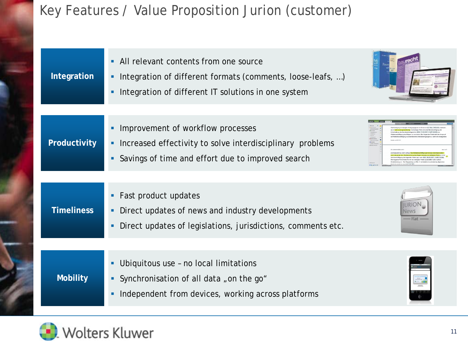#### Key Features / Value Proposition Jurion (customer)

| Integration       | All relevant contents from one source<br>٠<br>Integration of different formats (comments, loose-leafs, )<br>٠<br>Integration of different IT solutions in one system<br>٠ |                                                       |
|-------------------|---------------------------------------------------------------------------------------------------------------------------------------------------------------------------|-------------------------------------------------------|
| Productivity      | Improvement of workflow processes<br>٠<br>Increased effectivity to solve interdisciplinary problems<br>٠<br>Savings of time and effort due to improved search<br>٠        | ANTISTA RELEASE THE FIT TITLE TO WANT A STATE COMPANY |
| <b>Timeliness</b> | Fast product updates<br>٠<br>Direct updates of news and industry developments<br>٠<br>Direct updates of legislations, jurisdictions, comments etc.<br>٠                   | Flat                                                  |
| <b>Mobility</b>   | Ubiquitous use - no local limitations<br>٠<br>Synchronisation of all data "on the go"<br>٠<br>Independent from devices, working across platforms<br>٠                     |                                                       |

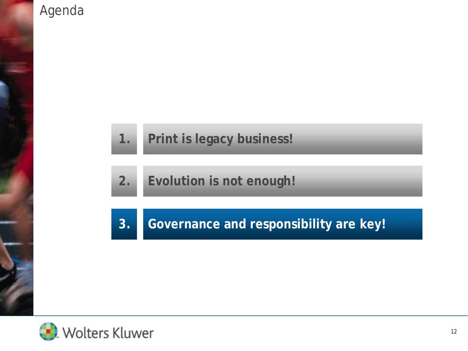

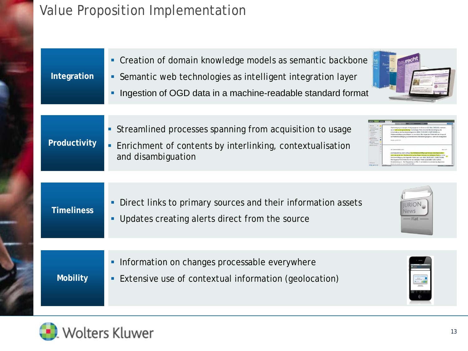#### Value Proposition Implementation

| Integration       | Creation of domain knowledge models as semantic backbone<br>Semantic web technologies as intelligent integration layer<br>ш<br>Ingestion of OGD data in a machine-readable standard format |
|-------------------|--------------------------------------------------------------------------------------------------------------------------------------------------------------------------------------------|
| Productivity      | • Streamlined processes spanning from acquisition to usage<br>Enrichment of contents by interlinking, contextualisation<br>and disambiguation                                              |
| <b>Timeliness</b> | Direct links to primary sources and their information assets<br>iurio<br><b>News</b><br>Updates creating alerts direct from the source<br>· Flat                                           |
| <b>Mobility</b>   | Information on changes processable everywhere<br>Extensive use of contextual information (geolocation)                                                                                     |

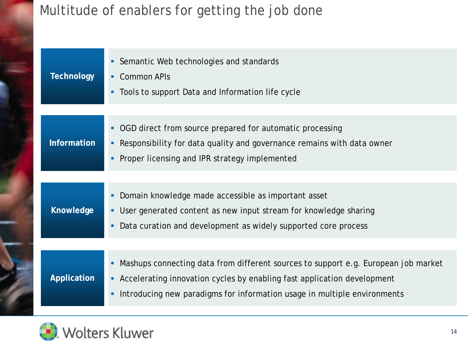## Multitude of enablers for getting the job done

| <b>Technology</b>  | Semantic Web technologies and standards<br><b>Common APIs</b><br>٠<br>• Tools to support Data and Information life cycle                                                                                                                         |
|--------------------|--------------------------------------------------------------------------------------------------------------------------------------------------------------------------------------------------------------------------------------------------|
| <b>Information</b> | • OGD direct from source prepared for automatic processing<br>Responsibility for data quality and governance remains with data owner<br>٠<br>Proper licensing and IPR strategy implemented                                                       |
| Knowledge          | Domain knowledge made accessible as important asset<br>٠<br>User generated content as new input stream for knowledge sharing<br>٠<br>Data curation and development as widely supported core process<br>٠                                         |
| Application        | Mashups connecting data from different sources to support e.g. European job market<br>• Accelerating innovation cycles by enabling fast application development<br>Introducing new paradigms for information usage in multiple environments<br>٠ |

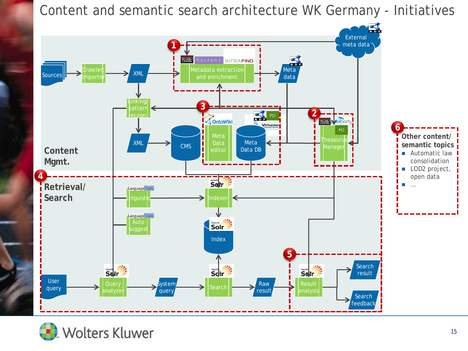Content and semantic search architecture WK Germany - Initiatives



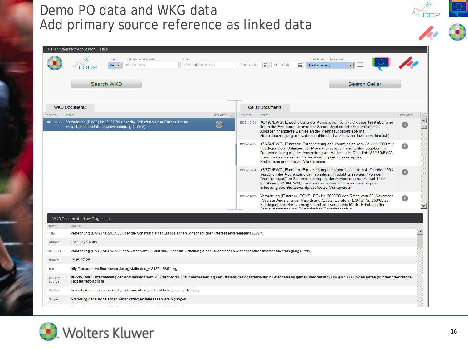#### Demo PO data and WKG data Add primary source reference as linked data

|                   | Cellar Integration Application Help           |                          |                                                                                                                                              |                      |           |               |                         |                                                                                                                                                                                                                                                                                                                                             |                      |                |  |
|-------------------|-----------------------------------------------|--------------------------|----------------------------------------------------------------------------------------------------------------------------------------------|----------------------|-----------|---------------|-------------------------|---------------------------------------------------------------------------------------------------------------------------------------------------------------------------------------------------------------------------------------------------------------------------------------------------------------------------------------------|----------------------|----------------|--|
|                   |                                               | Lang                     | Full Text (cellar only):                                                                                                                     | Title:               |           |               |                         | Arbeitsrecht Thesaurus                                                                                                                                                                                                                                                                                                                      |                      |                |  |
|                   |                                               | $de \rightarrow$         | cellar only                                                                                                                                  | titles, abbrev, etc. |           | start date    | 画)<br>end date          | 亜<br>Besteuerung                                                                                                                                                                                                                                                                                                                            |                      |                |  |
|                   |                                               |                          |                                                                                                                                              |                      |           |               |                         |                                                                                                                                                                                                                                                                                                                                             |                      |                |  |
|                   |                                               | Search WKD               |                                                                                                                                              |                      |           |               |                         |                                                                                                                                                                                                                                                                                                                                             | <b>Search Cellar</b> |                |  |
|                   |                                               |                          |                                                                                                                                              |                      |           |               |                         |                                                                                                                                                                                                                                                                                                                                             |                      |                |  |
|                   | <b>WKD Documents</b>                          |                          |                                                                                                                                              |                      |           |               | <b>Cellar Documents</b> |                                                                                                                                                                                                                                                                                                                                             |                      |                |  |
| <b>ISSUED</b>     | TITLE                                         |                          |                                                                                                                                              |                      | RELATED ( | <b>ISSUED</b> | <b>TITLE</b>            |                                                                                                                                                                                                                                                                                                                                             |                      | <b>RELATED</b> |  |
|                   | wirtschaftlichen Interessenvereinigung (EWIV) |                          | 1985-07-25 Verordnung (EWG) Nr. 2137/85 über die Schaffung einer Europäischen                                                                |                      | (1)       | 1989-10-04    |                         | 90/197/EWG: Entscheidung der Kommission vom 4. Oktober 1989 über eine<br>durch die Erstattung besonderer Steuerabgaben oder steuerähnlicher<br>Abgaben finanzierte Beihilfe an die Viehhaltungsbetriebe mit<br>Getreideerzeugung in Frankreich (Nur der französische Text ist verbindlich)                                                  |                      |                |  |
|                   |                                               |                          |                                                                                                                                              |                      |           | 1993-07-22    |                         | 93/454/EWG, Euratom: Entscheidung der Kommission vom 22. Juli 1993 zur<br>Festlegung der Definition der Produktionssteuern und Einfuhrabgaben im<br>Zusammenhang mit der Anwendung von Artikel 1 der Richtlinie 89/130/EWG,<br>Euratom des Rates zur Harmonisierung der Erfassung des<br>Bruttosozialprodukts zu Marktpreisen               |                      | $\mathbf{X}$   |  |
|                   |                                               |                          |                                                                                                                                              |                      |           | 1993-10-04    |                         | 93/570/EWG, Euratom: Entscheidung der Kommission vom 4. Oktober 1993<br>bezüglich der Abgrenzung der "sonstigen Produktionssteuern" von den<br>"Vorleistungen" im Zusammenhang mit der Anwendung von Artikel 1 der<br>Richtlinie 89/130/EWG, Euratom des Rates zur Harmonisierung der<br>Erfassung des Bruttosozialprodukts zu Marktpreisen |                      |                |  |
|                   |                                               |                          |                                                                                                                                              |                      |           | 1993-11-22    |                         | Verordnung (Euratom, EGKS, EG) Nr. 3606/93 des Rates vom 22. November<br>1993 zur Änderung der Verordnung (EWG, Euratom, EGKS) Nr. 260/68 zur<br>Festlegung der Bestimmungen und des Verfahrens für die Erhebung der<br><u> Okazia alian akan dan Essainbaran Okazia akan Azia</u>                                                          |                      | $\mathbf{x}$   |  |
|                   |                                               |                          |                                                                                                                                              |                      |           |               |                         |                                                                                                                                                                                                                                                                                                                                             |                      |                |  |
|                   | WKD Document Law Fragments                    |                          |                                                                                                                                              |                      |           |               |                         |                                                                                                                                                                                                                                                                                                                                             |                      |                |  |
| <b>DETAIL</b>     | VALUE                                         |                          |                                                                                                                                              |                      |           |               |                         |                                                                                                                                                                                                                                                                                                                                             |                      |                |  |
| Title:            |                                               |                          | Verordnung (EWG) Nr. 2137/85 über die Schaffung einer Europäischen wirtschaftlichen Interessenvereinigung (EWIV)                             |                      |           |               |                         |                                                                                                                                                                                                                                                                                                                                             |                      |                |  |
| Abbrev:           | EWG-V 2137/85                                 |                          |                                                                                                                                              |                      |           |               |                         |                                                                                                                                                                                                                                                                                                                                             |                      |                |  |
| Short Title:      |                                               |                          | Verordnung (EWG) Nr. 2137/85 des Rates vom 25. Juli 1985 über die Schaffung einer Europäischen wirtschaftlichen Interessenvereinigung (EWIV) |                      |           |               |                         |                                                                                                                                                                                                                                                                                                                                             |                      |                |  |
| Issued:           | 1985-07-25                                    |                          |                                                                                                                                              |                      |           |               |                         |                                                                                                                                                                                                                                                                                                                                             |                      |                |  |
| URL:              |                                               |                          | http://resource.wolterskluwer.de/legislation/eu_v-2137-1985-ewg                                                                              |                      |           |               |                         |                                                                                                                                                                                                                                                                                                                                             |                      |                |  |
| primary<br>source | <b>Text ist verbindlich)</b>                  |                          |                                                                                                                                              |                      |           |               |                         | 86/519/EWG: Entscheidung der Kommission vom 20. Oktober 1986 zur Verbesserung der Effizienz der Agrarstruktur in Griechenland gemäß Verordnung (EWG) Nr. 797/85 des Rates (Nur der griechische                                                                                                                                              |                      |                |  |
| Subject           |                                               |                          | Ausscheiden aus einem anderen Grund als dem der Abtretung seiner Rechte                                                                      |                      |           |               |                         |                                                                                                                                                                                                                                                                                                                                             |                      |                |  |
| Subject           |                                               |                          | Gründung der europäischen wirtschaftlichen Interessenvereinigungen                                                                           |                      |           |               |                         |                                                                                                                                                                                                                                                                                                                                             |                      |                |  |
|                   |                                               | <b>Contract Contract</b> | and a series of the contract and a series                                                                                                    |                      |           |               |                         |                                                                                                                                                                                                                                                                                                                                             |                      |                |  |



 $\frac{1}{\sqrt{2}}$ 

 $\mathcal{U} \oplus$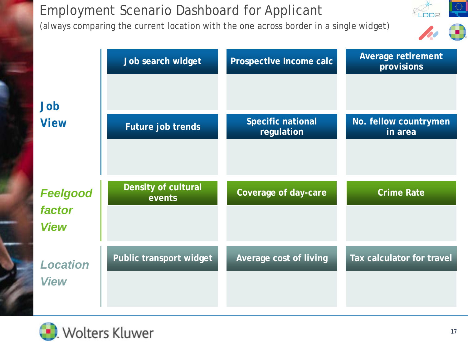## Employment Scenario Dashboard for Applicant

(always comparing the current location with the one across border in a single widget)



|                       | Job search widget          | Prospective Income calc                | <b>Average retirement</b><br>provisions |
|-----------------------|----------------------------|----------------------------------------|-----------------------------------------|
| Job                   |                            |                                        |                                         |
| <b>View</b>           | Future job trends          | <b>Specific national</b><br>regulation | No. fellow countrymen<br>in area        |
|                       |                            |                                        |                                         |
|                       | <b>Density of cultural</b> |                                        |                                         |
| <b>Feelgood</b>       | events                     | Coverage of day-care                   | <b>Crime Rate</b>                       |
| factor<br><b>View</b> |                            |                                        |                                         |
| <b>Location</b>       | Public transport widget    | Average cost of living                 | Tax calculator for travel               |

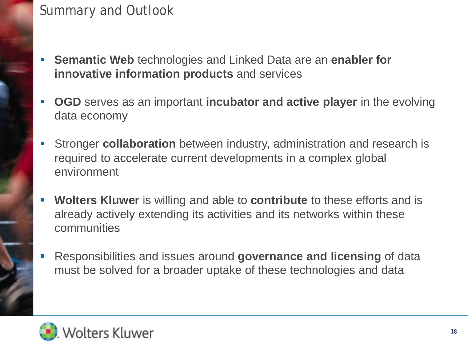#### Summary and Outlook

- **Semantic Web** technologies and Linked Data are an **enabler for innovative information products** and services
- **OGD** serves as an important **incubator and active player** in the evolving data economy
- Stronger **collaboration** between industry, administration and research is required to accelerate current developments in a complex global environment
- **Wolters Kluwer** is willing and able to **contribute** to these efforts and is already actively extending its activities and its networks within these communities
- Responsibilities and issues around **governance and licensing** of data must be solved for a broader uptake of these technologies and data